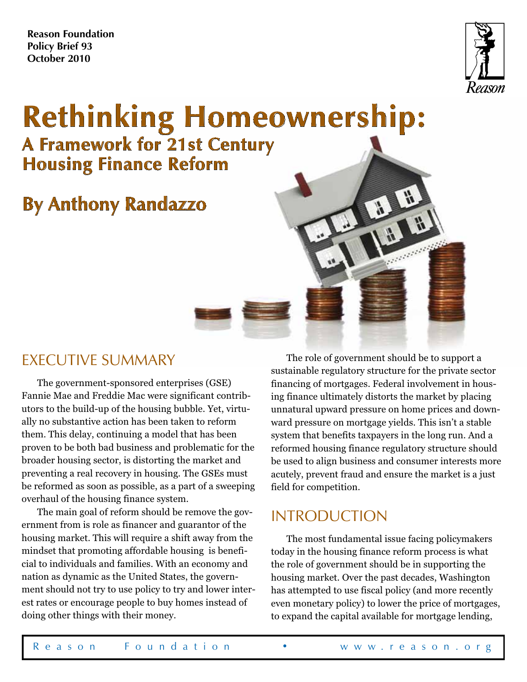**Reason Foundation Policy Brief 93 October 2010**



# **Rethinking Homeownership: A Framework for 21st Century Housing Finance Reform**

# **By Anthony Randazzo**

### EXECUTIVE SUMMARY

The government-sponsored enterprises (GSE) Fannie Mae and Freddie Mac were significant contributors to the build-up of the housing bubble. Yet, virtually no substantive action has been taken to reform them. This delay, continuing a model that has been proven to be both bad business and problematic for the broader housing sector, is distorting the market and preventing a real recovery in housing. The GSEs must be reformed as soon as possible, as a part of a sweeping overhaul of the housing finance system.

The main goal of reform should be remove the government from is role as financer and guarantor of the housing market. This will require a shift away from the mindset that promoting affordable housing is beneficial to individuals and families. With an economy and nation as dynamic as the United States, the government should not try to use policy to try and lower interest rates or encourage people to buy homes instead of doing other things with their money.

The role of government should be to support a sustainable regulatory structure for the private sector financing of mortgages. Federal involvement in housing finance ultimately distorts the market by placing unnatural upward pressure on home prices and downward pressure on mortgage yields. This isn't a stable system that benefits taxpayers in the long run. And a reformed housing finance regulatory structure should be used to align business and consumer interests more acutely, prevent fraud and ensure the market is a just field for competition.

出出

### **INTRODUCTION**

The most fundamental issue facing policymakers today in the housing finance reform process is what the role of government should be in supporting the housing market. Over the past decades, Washington has attempted to use fiscal policy (and more recently even monetary policy) to lower the price of mortgages, to expand the capital available for mortgage lending,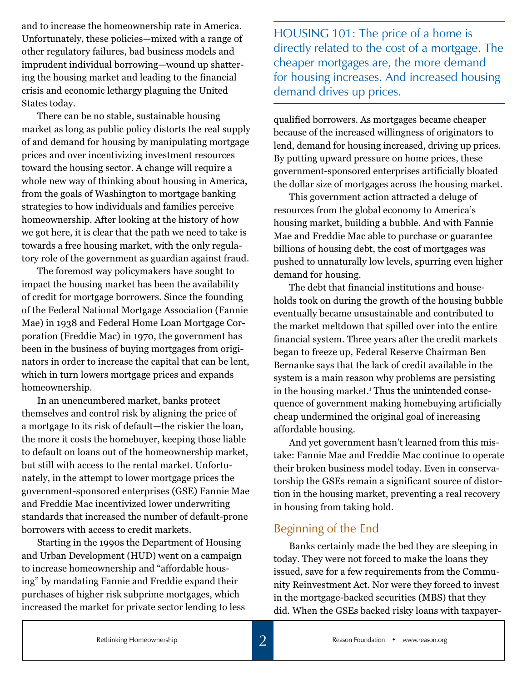and to increase the homeownership rate in America. Unfortunately, these policies—mixed with a range of other regulatory failures, bad business models and imprudent individual borrowing—wound up shattering the housing market and leading to the financial crisis and economic lethargy plaguing the United States today.

There can be no stable, sustainable housing market as long as public policy distorts the real supply of and demand for housing by manipulating mortgage prices and over incentivizing investment resources toward the housing sector. A change will require a whole new way of thinking about housing in America, from the goals of Washington to mortgage banking strategies to how individuals and families perceive homeownership. After looking at the history of how we got here, it is clear that the path we need to take is towards a free housing market, with the only regulatory role of the government as guardian against fraud.

The foremost way policymakers have sought to impact the housing market has been the availability of credit for mortgage borrowers. Since the founding of the Federal National Mortgage Association (Fannie Mae) in 1938 and Federal Home Loan Mortgage Corporation (Freddie Mac) in 1970, the government has been in the business of buying mortgages from originators in order to increase the capital that can be lent, which in turn lowers mortgage prices and expands homeownership.

In an unencumbered market, banks protect themselves and control risk by aligning the price of a mortgage to its risk of default—the riskier the loan, the more it costs the homebuyer, keeping those liable to default on loans out of the homeownership market, but still with access to the rental market. Unfortunately, in the attempt to lower mortgage prices the government-sponsored enterprises (GSE) Fannie Mae and Freddie Mac incentivized lower underwriting standards that increased the number of default-prone borrowers with access to credit markets.

Starting in the 1990s the Department of Housing and Urban Development (HUD) went on a campaign to increase homeownership and "affordable housing" by mandating Fannie and Freddie expand their purchases of higher risk subprime mortgages, which increased the market for private sector lending to less HOUSING 101: The price of a home is directly related to the cost of a mortgage. The cheaper mortgages are, the more demand for housing increases. And increased housing demand drives up prices.

qualified borrowers. As mortgages became cheaper because of the increased willingness of originators to lend, demand for housing increased, driving up prices. By putting upward pressure on home prices, these government-sponsored enterprises artificially bloated the dollar size of mortgages across the housing market.

This government action attracted a deluge of resources from the global economy to America's housing market, building a bubble. And with Fannie Mae and Freddie Mac able to purchase or guarantee billions of housing debt, the cost of mortgages was pushed to unnaturally low levels, spurring even higher demand for housing.

The debt that financial institutions and households took on during the growth of the housing bubble eventually became unsustainable and contributed to the market meltdown that spilled over into the entire financial system. Three years after the credit markets began to freeze up, Federal Reserve Chairman Ben Bernanke says that the lack of credit available in the system is a main reason why problems are persisting in the housing market.<sup>1</sup> Thus the unintended consequence of government making homebuying artificially cheap undermined the original goal of increasing affordable housing.

And yet government hasn't learned from this mistake: Fannie Mae and Freddie Mac continue to operate their broken business model today. Even in conservatorship the GSEs remain a significant source of distortion in the housing market, preventing a real recovery in housing from taking hold.

#### Beginning of the End

Banks certainly made the bed they are sleeping in today. They were not forced to make the loans they issued, save for a few requirements from the Community Reinvestment Act. Nor were they forced to invest in the mortgage-backed securities (MBS) that they did. When the GSEs backed risky loans with taxpayer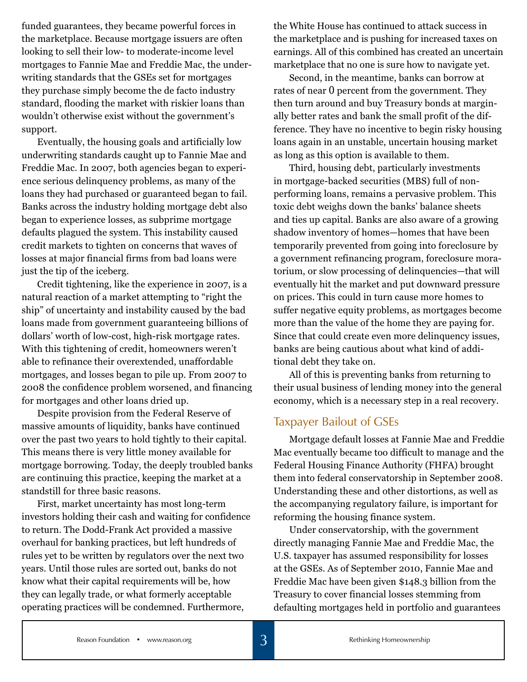funded guarantees, they became powerful forces in the marketplace. Because mortgage issuers are often looking to sell their low- to moderate-income level mortgages to Fannie Mae and Freddie Mac, the underwriting standards that the GSEs set for mortgages they purchase simply become the de facto industry standard, flooding the market with riskier loans than wouldn't otherwise exist without the government's support.

Eventually, the housing goals and artificially low underwriting standards caught up to Fannie Mae and Freddie Mac. In 2007, both agencies began to experience serious delinquency problems, as many of the loans they had purchased or guaranteed began to fail. Banks across the industry holding mortgage debt also began to experience losses, as subprime mortgage defaults plagued the system. This instability caused credit markets to tighten on concerns that waves of losses at major financial firms from bad loans were just the tip of the iceberg.

Credit tightening, like the experience in 2007, is a natural reaction of a market attempting to "right the ship" of uncertainty and instability caused by the bad loans made from government guaranteeing billions of dollars' worth of low-cost, high-risk mortgage rates. With this tightening of credit, homeowners weren't able to refinance their overextended, unaffordable mortgages, and losses began to pile up. From 2007 to 2008 the confidence problem worsened, and financing for mortgages and other loans dried up.

Despite provision from the Federal Reserve of massive amounts of liquidity, banks have continued over the past two years to hold tightly to their capital. This means there is very little money available for mortgage borrowing. Today, the deeply troubled banks are continuing this practice, keeping the market at a standstill for three basic reasons.

First, market uncertainty has most long-term investors holding their cash and waiting for confidence to return. The Dodd-Frank Act provided a massive overhaul for banking practices, but left hundreds of rules yet to be written by regulators over the next two years. Until those rules are sorted out, banks do not know what their capital requirements will be, how they can legally trade, or what formerly acceptable operating practices will be condemned. Furthermore,

the White House has continued to attack success in the marketplace and is pushing for increased taxes on earnings. All of this combined has created an uncertain marketplace that no one is sure how to navigate yet.

Second, in the meantime, banks can borrow at rates of near 0 percent from the government. They then turn around and buy Treasury bonds at marginally better rates and bank the small profit of the difference. They have no incentive to begin risky housing loans again in an unstable, uncertain housing market as long as this option is available to them.

Third, housing debt, particularly investments in mortgage-backed securities (MBS) full of nonperforming loans, remains a pervasive problem. This toxic debt weighs down the banks' balance sheets and ties up capital. Banks are also aware of a growing shadow inventory of homes—homes that have been temporarily prevented from going into foreclosure by a government refinancing program, foreclosure moratorium, or slow processing of delinquencies—that will eventually hit the market and put downward pressure on prices. This could in turn cause more homes to suffer negative equity problems, as mortgages become more than the value of the home they are paying for. Since that could create even more delinquency issues, banks are being cautious about what kind of additional debt they take on.

All of this is preventing banks from returning to their usual business of lending money into the general economy, which is a necessary step in a real recovery.

#### Taxpayer Bailout of GSEs

Mortgage default losses at Fannie Mae and Freddie Mac eventually became too difficult to manage and the Federal Housing Finance Authority (FHFA) brought them into federal conservatorship in September 2008. Understanding these and other distortions, as well as the accompanying regulatory failure, is important for reforming the housing finance system.

Under conservatorship, with the government directly managing Fannie Mae and Freddie Mac, the U.S. taxpayer has assumed responsibility for losses at the GSEs. As of September 2010, Fannie Mae and Freddie Mac have been given \$148.3 billion from the Treasury to cover financial losses stemming from defaulting mortgages held in portfolio and guarantees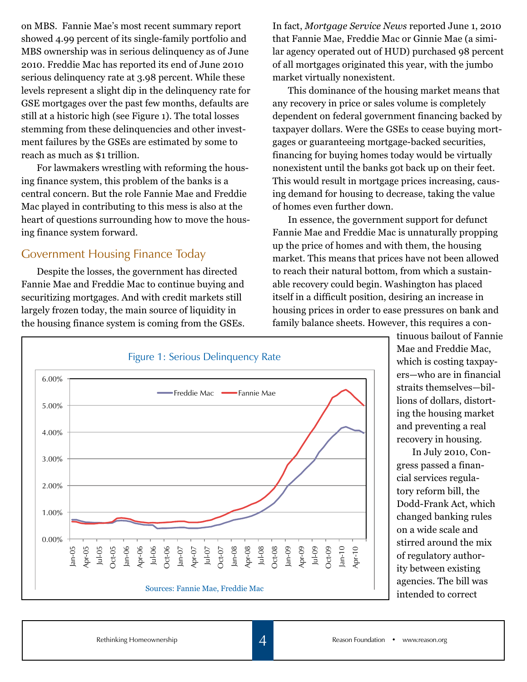on MBS. Fannie Mae's most recent summary report showed 4.99 percent of its single-family portfolio and MBS ownership was in serious delinquency as of June 2010. Freddie Mac has reported its end of June 2010 serious delinquency rate at 3.98 percent. While these levels represent a slight dip in the delinquency rate for GSE mortgages over the past few months, defaults are still at a historic high (see Figure 1). The total losses stemming from these delinquencies and other investment failures by the GSEs are estimated by some to reach as much as \$1 trillion.

For lawmakers wrestling with reforming the housing finance system, this problem of the banks is a central concern. But the role Fannie Mae and Freddie Mac played in contributing to this mess is also at the heart of questions surrounding how to move the housing finance system forward.

#### Government Housing Finance Today

Despite the losses, the government has directed Fannie Mae and Freddie Mac to continue buying and securitizing mortgages. And with credit markets still largely frozen today, the main source of liquidity in the housing finance system is coming from the GSEs. In fact, *Mortgage Service News* reported June 1, 2010 that Fannie Mae, Freddie Mac or Ginnie Mae (a similar agency operated out of HUD) purchased 98 percent of all mortgages originated this year, with the jumbo market virtually nonexistent.

This dominance of the housing market means that any recovery in price or sales volume is completely dependent on federal government financing backed by taxpayer dollars. Were the GSEs to cease buying mortgages or guaranteeing mortgage-backed securities, financing for buying homes today would be virtually nonexistent until the banks got back up on their feet. This would result in mortgage prices increasing, causing demand for housing to decrease, taking the value of homes even further down.

In essence, the government support for defunct Fannie Mae and Freddie Mac is unnaturally propping up the price of homes and with them, the housing market. This means that prices have not been allowed to reach their natural bottom, from which a sustainable recovery could begin. Washington has placed itself in a difficult position, desiring an increase in housing prices in order to ease pressures on bank and family balance sheets. However, this requires a con-



tinuous bailout of Fannie Mae and Freddie Mac, which is costing taxpayers—who are in financial straits themselves—billions of dollars, distorting the housing market and preventing a real recovery in housing.

In July 2010, Congress passed a financial services regulatory reform bill, the Dodd-Frank Act, which changed banking rules on a wide scale and stirred around the mix of regulatory authority between existing agencies. The bill was intended to correct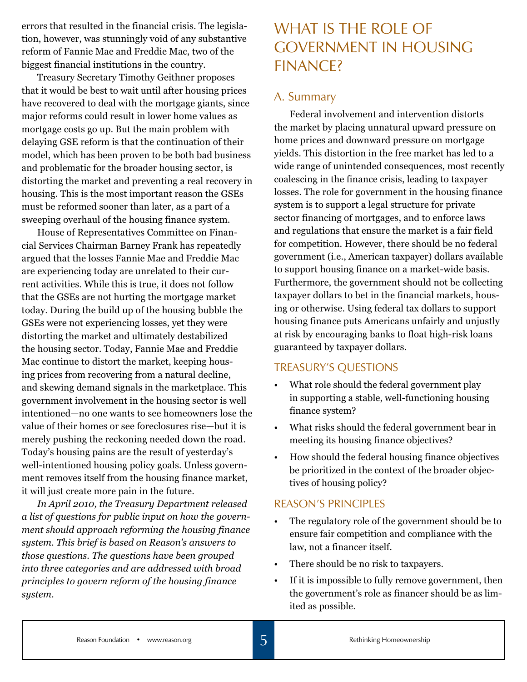errors that resulted in the financial crisis. The legislation, however, was stunningly void of any substantive reform of Fannie Mae and Freddie Mac, two of the biggest financial institutions in the country.

Treasury Secretary Timothy Geithner proposes that it would be best to wait until after housing prices have recovered to deal with the mortgage giants, since major reforms could result in lower home values as mortgage costs go up. But the main problem with delaying GSE reform is that the continuation of their model, which has been proven to be both bad business and problematic for the broader housing sector, is distorting the market and preventing a real recovery in housing. This is the most important reason the GSEs must be reformed sooner than later, as a part of a sweeping overhaul of the housing finance system.

House of Representatives Committee on Financial Services Chairman Barney Frank has repeatedly argued that the losses Fannie Mae and Freddie Mac are experiencing today are unrelated to their current activities. While this is true, it does not follow that the GSEs are not hurting the mortgage market today. During the build up of the housing bubble the GSEs were not experiencing losses, yet they were distorting the market and ultimately destabilized the housing sector. Today, Fannie Mae and Freddie Mac continue to distort the market, keeping housing prices from recovering from a natural decline, and skewing demand signals in the marketplace. This government involvement in the housing sector is well intentioned—no one wants to see homeowners lose the value of their homes or see foreclosures rise—but it is merely pushing the reckoning needed down the road. Today's housing pains are the result of yesterday's well-intentioned housing policy goals. Unless government removes itself from the housing finance market, it will just create more pain in the future.

*In April 2010, the Treasury Department released a list of questions for public input on how the government should approach reforming the housing finance system. This brief is based on Reason's answers to those questions. The questions have been grouped into three categories and are addressed with broad principles to govern reform of the housing finance system.* 

# WHAT IS THE ROLE OF Government in Housing Finance?

#### A. Summary

Federal involvement and intervention distorts the market by placing unnatural upward pressure on home prices and downward pressure on mortgage yields. This distortion in the free market has led to a wide range of unintended consequences, most recently coalescing in the finance crisis, leading to taxpayer losses. The role for government in the housing finance system is to support a legal structure for private sector financing of mortgages, and to enforce laws and regulations that ensure the market is a fair field for competition. However, there should be no federal government (i.e., American taxpayer) dollars available to support housing finance on a market-wide basis. Furthermore, the government should not be collecting taxpayer dollars to bet in the financial markets, housing or otherwise. Using federal tax dollars to support housing finance puts Americans unfairly and unjustly at risk by encouraging banks to float high-risk loans guaranteed by taxpayer dollars.

#### TREASURY'S QUESTIONS

- What role should the federal government play in supporting a stable, well-functioning housing finance system?
- What risks should the federal government bear in meeting its housing finance objectives?
- How should the federal housing finance objectives be prioritized in the context of the broader objectives of housing policy?

#### REASON'S PRINCIPLES

- The regulatory role of the government should be to ensure fair competition and compliance with the law, not a financer itself.
- There should be no risk to taxpayers.
- If it is impossible to fully remove government, then the government's role as financer should be as limited as possible.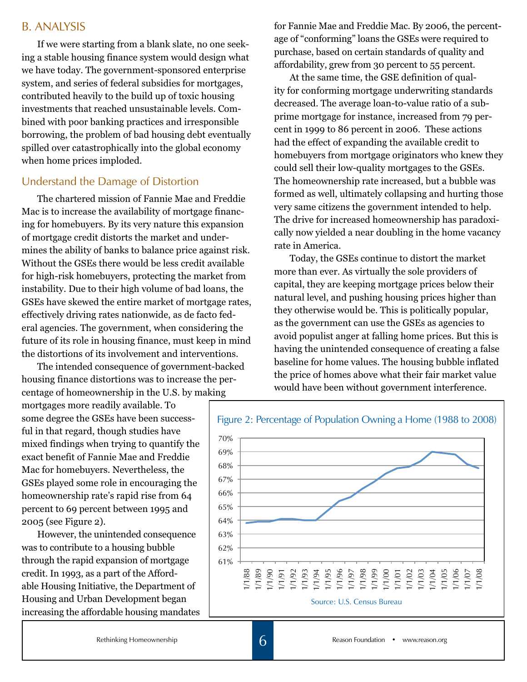#### B. ANALYSIS

If we were starting from a blank slate, no one seeking a stable housing finance system would design what we have today. The government-sponsored enterprise system, and series of federal subsidies for mortgages, contributed heavily to the build up of toxic housing investments that reached unsustainable levels. Combined with poor banking practices and irresponsible borrowing, the problem of bad housing debt eventually spilled over catastrophically into the global economy when home prices imploded.

#### Understand the Damage of Distortion

The chartered mission of Fannie Mae and Freddie Mac is to increase the availability of mortgage financing for homebuyers. By its very nature this expansion of mortgage credit distorts the market and undermines the ability of banks to balance price against risk. Without the GSEs there would be less credit available for high-risk homebuyers, protecting the market from instability. Due to their high volume of bad loans, the GSEs have skewed the entire market of mortgage rates, effectively driving rates nationwide, as de facto federal agencies. The government, when considering the future of its role in housing finance, must keep in mind the distortions of its involvement and interventions.

The intended consequence of government-backed housing finance distortions was to increase the percentage of homeownership in the U.S. by making

mortgages more readily available. To some degree the GSEs have been successful in that regard, though studies have mixed findings when trying to quantify the exact benefit of Fannie Mae and Freddie Mac for homebuyers. Nevertheless, the GSEs played some role in encouraging the homeownership rate's rapid rise from 64 percent to 69 percent between 1995 and 2005 (see Figure 2).

However, the unintended consequence was to contribute to a housing bubble through the rapid expansion of mortgage credit. In 1993, as a part of the Affordable Housing Initiative, the Department of Housing and Urban Development began increasing the affordable housing mandates for Fannie Mae and Freddie Mac. By 2006, the percentage of "conforming" loans the GSEs were required to purchase, based on certain standards of quality and affordability, grew from 30 percent to 55 percent.

At the same time, the GSE definition of quality for conforming mortgage underwriting standards decreased. The average loan-to-value ratio of a subprime mortgage for instance, increased from 79 percent in 1999 to 86 percent in 2006. These actions had the effect of expanding the available credit to homebuyers from mortgage originators who knew they could sell their low-quality mortgages to the GSEs. The homeownership rate increased, but a bubble was formed as well, ultimately collapsing and hurting those very same citizens the government intended to help. The drive for increased homeownership has paradoxically now yielded a near doubling in the home vacancy rate in America.

Today, the GSEs continue to distort the market more than ever. As virtually the sole providers of capital, they are keeping mortgage prices below their natural level, and pushing housing prices higher than they otherwise would be. This is politically popular, as the government can use the GSEs as agencies to avoid populist anger at falling home prices. But this is having the unintended consequence of creating a false baseline for home values. The housing bubble inflated the price of homes above what their fair market value would have been without government interference.

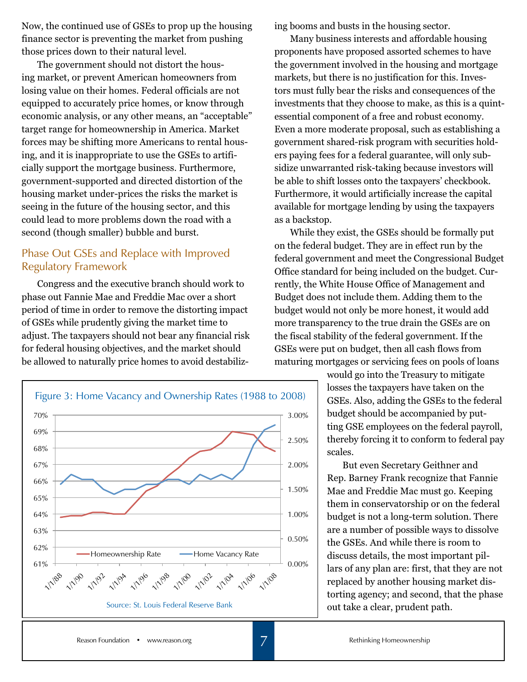Now, the continued use of GSEs to prop up the housing finance sector is preventing the market from pushing those prices down to their natural level.

The government should not distort the housing market, or prevent American homeowners from losing value on their homes. Federal officials are not equipped to accurately price homes, or know through economic analysis, or any other means, an "acceptable" target range for homeownership in America. Market forces may be shifting more Americans to rental housing, and it is inappropriate to use the GSEs to artificially support the mortgage business. Furthermore, government-supported and directed distortion of the housing market under-prices the risks the market is seeing in the future of the housing sector, and this could lead to more problems down the road with a second (though smaller) bubble and burst.

#### Phase Out GSEs and Replace with Improved Regulatory Framework

Congress and the executive branch should work to phase out Fannie Mae and Freddie Mac over a short period of time in order to remove the distorting impact of GSEs while prudently giving the market time to adjust. The taxpayers should not bear any financial risk for federal housing objectives, and the market should be allowed to naturally price homes to avoid destabiliz-



ing booms and busts in the housing sector.

Many business interests and affordable housing proponents have proposed assorted schemes to have the government involved in the housing and mortgage markets, but there is no justification for this. Investors must fully bear the risks and consequences of the investments that they choose to make, as this is a quintessential component of a free and robust economy. Even a more moderate proposal, such as establishing a government shared-risk program with securities holders paying fees for a federal guarantee, will only subsidize unwarranted risk-taking because investors will be able to shift losses onto the taxpayers' checkbook. Furthermore, it would artificially increase the capital available for mortgage lending by using the taxpayers as a backstop.

While they exist, the GSEs should be formally put on the federal budget. They are in effect run by the federal government and meet the Congressional Budget Office standard for being included on the budget. Currently, the White House Office of Management and Budget does not include them. Adding them to the budget would not only be more honest, it would add more transparency to the true drain the GSEs are on the fiscal stability of the federal government. If the GSEs were put on budget, then all cash flows from maturing mortgages or servicing fees on pools of loans

> would go into the Treasury to mitigate losses the taxpayers have taken on the GSEs. Also, adding the GSEs to the federal budget should be accompanied by putting GSE employees on the federal payroll, thereby forcing it to conform to federal pay scales.

> But even Secretary Geithner and Rep. Barney Frank recognize that Fannie Mae and Freddie Mac must go. Keeping them in conservatorship or on the federal budget is not a long-term solution. There are a number of possible ways to dissolve the GSEs. And while there is room to discuss details, the most important pillars of any plan are: first, that they are not replaced by another housing market distorting agency; and second, that the phase out take a clear, prudent path.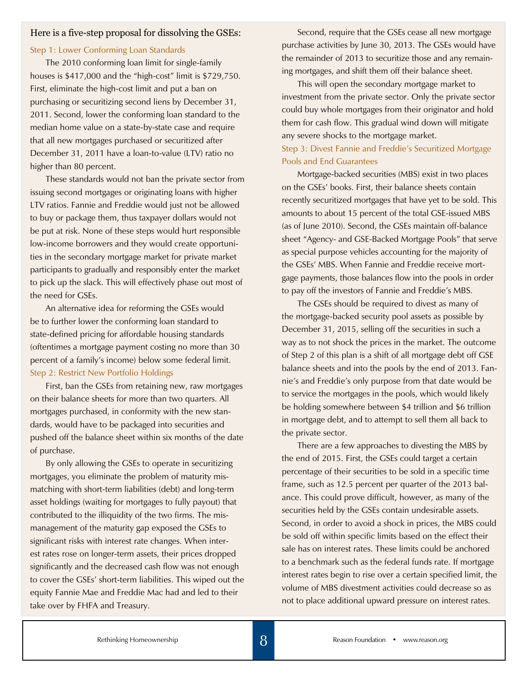#### Here is a five-step proposal for dissolving the GSEs:

#### Step 1: Lower Conforming Loan Standards

The 2010 conforming loan limit for single-family houses is \$417,000 and the "high-cost" limit is \$729,750. First, eliminate the high-cost limit and put a ban on purchasing or securitizing second liens by December 31, 2011. Second, lower the conforming loan standard to the median home value on a state-by-state case and require that all new mortgages purchased or securitized after December 31, 2011 have a loan-to-value (LTV) ratio no higher than 80 percent.

These standards would not ban the private sector from issuing second mortgages or originating loans with higher LTV ratios. Fannie and Freddie would just not be allowed to buy or package them, thus taxpayer dollars would not be put at risk. None of these steps would hurt responsible low-income borrowers and they would create opportunities in the secondary mortgage market for private market participants to gradually and responsibly enter the market to pick up the slack. This will effectively phase out most of the need for GSEs.

An alternative idea for reforming the GSEs would be to further lower the conforming loan standard to state-defined pricing for affordable housing standards (oftentimes a mortgage payment costing no more than 30 percent of a family's income) below some federal limit. Step 2: Restrict New Portfolio Holdings

First, ban the GSEs from retaining new, raw mortgages on their balance sheets for more than two quarters. All mortgages purchased, in conformity with the new standards, would have to be packaged into securities and pushed off the balance sheet within six months of the date of purchase.

By only allowing the GSEs to operate in securitizing mortgages, you eliminate the problem of maturity mismatching with short-term liabilities (debt) and long-term asset holdings (waiting for mortgages to fully payout) that contributed to the illiquidity of the two firms. The mismanagement of the maturity gap exposed the GSEs to significant risks with interest rate changes. When interest rates rose on longer-term assets, their prices dropped significantly and the decreased cash flow was not enough to cover the GSEs' short-term liabilities. This wiped out the equity Fannie Mae and Freddie Mac had and led to their take over by FHFA and Treasury.

Second, require that the GSEs cease all new mortgage purchase activities by June 30, 2013. The GSEs would have the remainder of 2013 to securitize those and any remaining mortgages, and shift them off their balance sheet.

This will open the secondary mortgage market to investment from the private sector. Only the private sector could buy whole mortgages from their originator and hold them for cash flow. This gradual wind down will mitigate any severe shocks to the mortgage market.

#### Step 3: Divest Fannie and Freddie's Securitized Mortgage Pools and End Guarantees

Mortgage-backed securities (MBS) exist in two places on the GSEs' books. First, their balance sheets contain recently securitized mortgages that have yet to be sold. This amounts to about 15 percent of the total GSE-issued MBS (as of June 2010). Second, the GSEs maintain off-balance sheet "Agency- and GSE-Backed Mortgage Pools" that serve as special purpose vehicles accounting for the majority of the GSEs' MBS. When Fannie and Freddie receive mortgage payments, those balances flow into the pools in order to pay off the investors of Fannie and Freddie's MBS.

The GSEs should be required to divest as many of the mortgage-backed security pool assets as possible by December 31, 2015, selling off the securities in such a way as to not shock the prices in the market. The outcome of Step 2 of this plan is a shift of all mortgage debt off GSE balance sheets and into the pools by the end of 2013. Fannie's and Freddie's only purpose from that date would be to service the mortgages in the pools, which would likely be holding somewhere between \$4 trillion and \$6 trillion in mortgage debt, and to attempt to sell them all back to the private sector.

There are a few approaches to divesting the MBS by the end of 2015. First, the GSEs could target a certain percentage of their securities to be sold in a specific time frame, such as 12.5 percent per quarter of the 2013 balance. This could prove difficult, however, as many of the securities held by the GSEs contain undesirable assets. Second, in order to avoid a shock in prices, the MBS could be sold off within specific limits based on the effect their sale has on interest rates. These limits could be anchored to a benchmark such as the federal funds rate. If mortgage interest rates begin to rise over a certain specified limit, the volume of MBS divestment activities could decrease so as not to place additional upward pressure on interest rates.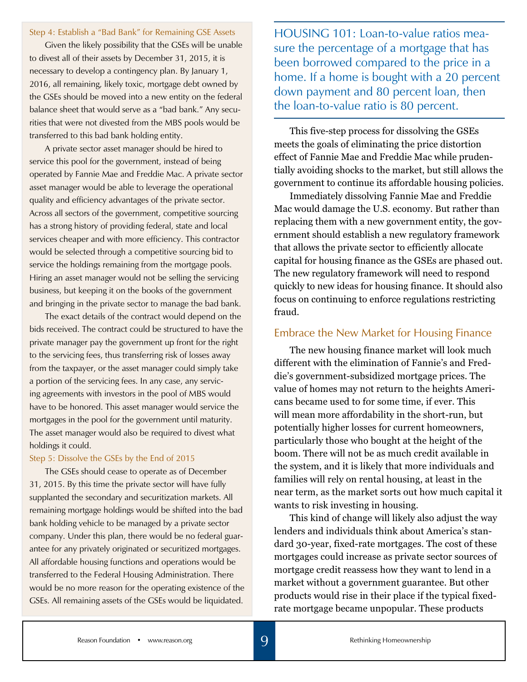Step 4: Establish a "Bad Bank" for Remaining GSE Assets

Given the likely possibility that the GSEs will be unable to divest all of their assets by December 31, 2015, it is necessary to develop a contingency plan. By January 1, 2016, all remaining, likely toxic, mortgage debt owned by the GSEs should be moved into a new entity on the federal balance sheet that would serve as a "bad bank." Any securities that were not divested from the MBS pools would be transferred to this bad bank holding entity.

A private sector asset manager should be hired to service this pool for the government, instead of being operated by Fannie Mae and Freddie Mac. A private sector asset manager would be able to leverage the operational quality and efficiency advantages of the private sector. Across all sectors of the government, competitive sourcing has a strong history of providing federal, state and local services cheaper and with more efficiency. This contractor would be selected through a competitive sourcing bid to service the holdings remaining from the mortgage pools. Hiring an asset manager would not be selling the servicing business, but keeping it on the books of the government and bringing in the private sector to manage the bad bank.

The exact details of the contract would depend on the bids received. The contract could be structured to have the private manager pay the government up front for the right to the servicing fees, thus transferring risk of losses away from the taxpayer, or the asset manager could simply take a portion of the servicing fees. In any case, any servicing agreements with investors in the pool of MBS would have to be honored. This asset manager would service the mortgages in the pool for the government until maturity. The asset manager would also be required to divest what holdings it could.

#### Step 5: Dissolve the GSEs by the End of 2015

The GSEs should cease to operate as of December 31, 2015. By this time the private sector will have fully supplanted the secondary and securitization markets. All remaining mortgage holdings would be shifted into the bad bank holding vehicle to be managed by a private sector company. Under this plan, there would be no federal guarantee for any privately originated or securitized mortgages. All affordable housing functions and operations would be transferred to the Federal Housing Administration. There would be no more reason for the operating existence of the GSEs. All remaining assets of the GSEs would be liquidated.

HOUSING 101: Loan-to-value ratios measure the percentage of a mortgage that has been borrowed compared to the price in a home. If a home is bought with a 20 percent down payment and 80 percent loan, then the loan-to-value ratio is 80 percent.

This five-step process for dissolving the GSEs meets the goals of eliminating the price distortion effect of Fannie Mae and Freddie Mac while prudentially avoiding shocks to the market, but still allows the government to continue its affordable housing policies.

Immediately dissolving Fannie Mae and Freddie Mac would damage the U.S. economy. But rather than replacing them with a new government entity, the government should establish a new regulatory framework that allows the private sector to efficiently allocate capital for housing finance as the GSEs are phased out. The new regulatory framework will need to respond quickly to new ideas for housing finance. It should also focus on continuing to enforce regulations restricting fraud.

#### Embrace the New Market for Housing Finance

The new housing finance market will look much different with the elimination of Fannie's and Freddie's government-subsidized mortgage prices. The value of homes may not return to the heights Americans became used to for some time, if ever. This will mean more affordability in the short-run, but potentially higher losses for current homeowners, particularly those who bought at the height of the boom. There will not be as much credit available in the system, and it is likely that more individuals and families will rely on rental housing, at least in the near term, as the market sorts out how much capital it wants to risk investing in housing.

This kind of change will likely also adjust the way lenders and individuals think about America's standard 30-year, fixed-rate mortgages. The cost of these mortgages could increase as private sector sources of mortgage credit reassess how they want to lend in a market without a government guarantee. But other products would rise in their place if the typical fixedrate mortgage became unpopular. These products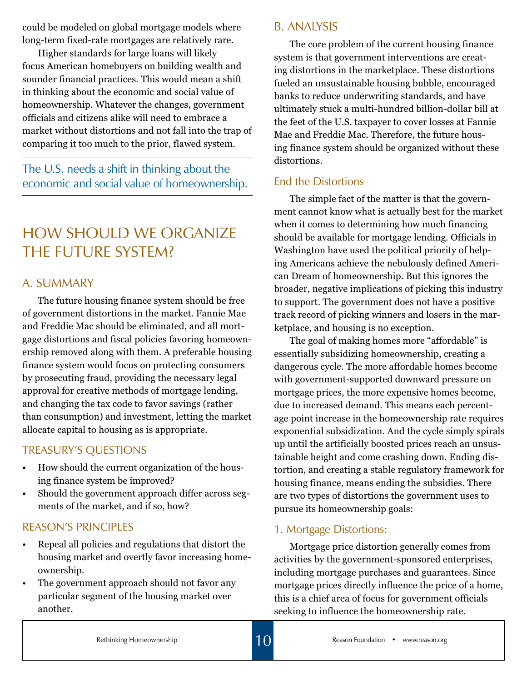could be modeled on global mortgage models where long-term fixed-rate mortgages are relatively rare.

Higher standards for large loans will likely focus American homebuyers on building wealth and sounder financial practices. This would mean a shift in thinking about the economic and social value of homeownership. Whatever the changes, government officials and citizens alike will need to embrace a market without distortions and not fall into the trap of comparing it too much to the prior, flawed system.

The U.S. needs a shift in thinking about the economic and social value of homeownership.

# How Should We Organize THE FUTURE SYSTEM?

#### A. SUMMARY

The future housing finance system should be free of government distortions in the market. Fannie Mae and Freddie Mac should be eliminated, and all mortgage distortions and fiscal policies favoring homeownership removed along with them. A preferable housing finance system would focus on protecting consumers by prosecuting fraud, providing the necessary legal approval for creative methods of mortgage lending, and changing the tax code to favor savings (rather than consumption) and investment, letting the market allocate capital to housing as is appropriate.

#### TREASURY'S QUESTIONS

- How should the current organization of the housing finance system be improved?
- Should the government approach differ across segments of the market, and if so, how?

#### REASON'S PRINCIPLES

- Repeal all policies and regulations that distort the housing market and overtly favor increasing homeownership.
- The government approach should not favor any particular segment of the housing market over another.

#### B. ANALYSIS

The core problem of the current housing finance system is that government interventions are creating distortions in the marketplace. These distortions fueled an unsustainable housing bubble, encouraged banks to reduce underwriting standards, and have ultimately stuck a multi-hundred billion-dollar bill at the feet of the U.S. taxpayer to cover losses at Fannie Mae and Freddie Mac. Therefore, the future housing finance system should be organized without these distortions.

#### End the Distortions

The simple fact of the matter is that the government cannot know what is actually best for the market when it comes to determining how much financing should be available for mortgage lending. Officials in Washington have used the political priority of helping Americans achieve the nebulously defined American Dream of homeownership. But this ignores the broader, negative implications of picking this industry to support. The government does not have a positive track record of picking winners and losers in the marketplace, and housing is no exception.

The goal of making homes more "affordable" is essentially subsidizing homeownership, creating a dangerous cycle. The more affordable homes become with government-supported downward pressure on mortgage prices, the more expensive homes become, due to increased demand. This means each percentage point increase in the homeownership rate requires exponential subsidization. And the cycle simply spirals up until the artificially boosted prices reach an unsustainable height and come crashing down. Ending distortion, and creating a stable regulatory framework for housing finance, means ending the subsidies. There are two types of distortions the government uses to pursue its homeownership goals:

#### 1. Mortgage Distortions:

Mortgage price distortion generally comes from activities by the government-sponsored enterprises, including mortgage purchases and guarantees. Since mortgage prices directly influence the price of a home, this is a chief area of focus for government officials seeking to influence the homeownership rate.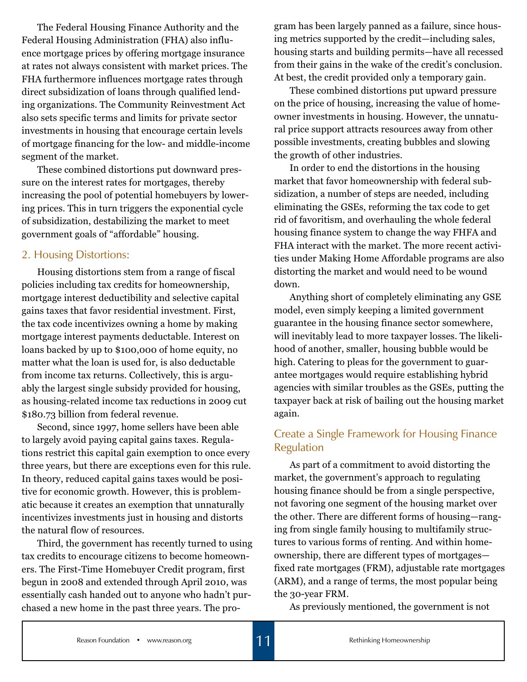The Federal Housing Finance Authority and the Federal Housing Administration (FHA) also influence mortgage prices by offering mortgage insurance at rates not always consistent with market prices. The FHA furthermore influences mortgage rates through direct subsidization of loans through qualified lending organizations. The Community Reinvestment Act also sets specific terms and limits for private sector investments in housing that encourage certain levels of mortgage financing for the low- and middle-income segment of the market.

These combined distortions put downward pressure on the interest rates for mortgages, thereby increasing the pool of potential homebuyers by lowering prices. This in turn triggers the exponential cycle of subsidization, destabilizing the market to meet government goals of "affordable" housing.

#### 2. Housing Distortions:

Housing distortions stem from a range of fiscal policies including tax credits for homeownership, mortgage interest deductibility and selective capital gains taxes that favor residential investment. First, the tax code incentivizes owning a home by making mortgage interest payments deductable. Interest on loans backed by up to \$100,000 of home equity, no matter what the loan is used for, is also deductable from income tax returns. Collectively, this is arguably the largest single subsidy provided for housing, as housing-related income tax reductions in 2009 cut \$180.73 billion from federal revenue.

Second, since 1997, home sellers have been able to largely avoid paying capital gains taxes. Regulations restrict this capital gain exemption to once every three years, but there are exceptions even for this rule. In theory, reduced capital gains taxes would be positive for economic growth. However, this is problematic because it creates an exemption that unnaturally incentivizes investments just in housing and distorts the natural flow of resources.

Third, the government has recently turned to using tax credits to encourage citizens to become homeowners. The First-Time Homebuyer Credit program, first begun in 2008 and extended through April 2010, was essentially cash handed out to anyone who hadn't purchased a new home in the past three years. The program has been largely panned as a failure, since housing metrics supported by the credit—including sales, housing starts and building permits—have all recessed from their gains in the wake of the credit's conclusion. At best, the credit provided only a temporary gain.

These combined distortions put upward pressure on the price of housing, increasing the value of homeowner investments in housing. However, the unnatural price support attracts resources away from other possible investments, creating bubbles and slowing the growth of other industries.

In order to end the distortions in the housing market that favor homeownership with federal subsidization, a number of steps are needed, including eliminating the GSEs, reforming the tax code to get rid of favoritism, and overhauling the whole federal housing finance system to change the way FHFA and FHA interact with the market. The more recent activities under Making Home Affordable programs are also distorting the market and would need to be wound down.

Anything short of completely eliminating any GSE model, even simply keeping a limited government guarantee in the housing finance sector somewhere, will inevitably lead to more taxpayer losses. The likelihood of another, smaller, housing bubble would be high. Catering to pleas for the government to guarantee mortgages would require establishing hybrid agencies with similar troubles as the GSEs, putting the taxpayer back at risk of bailing out the housing market again.

#### Create a Single Framework for Housing Finance Regulation

As part of a commitment to avoid distorting the market, the government's approach to regulating housing finance should be from a single perspective, not favoring one segment of the housing market over the other. There are different forms of housing—ranging from single family housing to multifamily structures to various forms of renting. And within homeownership, there are different types of mortgages fixed rate mortgages (FRM), adjustable rate mortgages (ARM), and a range of terms, the most popular being the 30-year FRM.

As previously mentioned, the government is not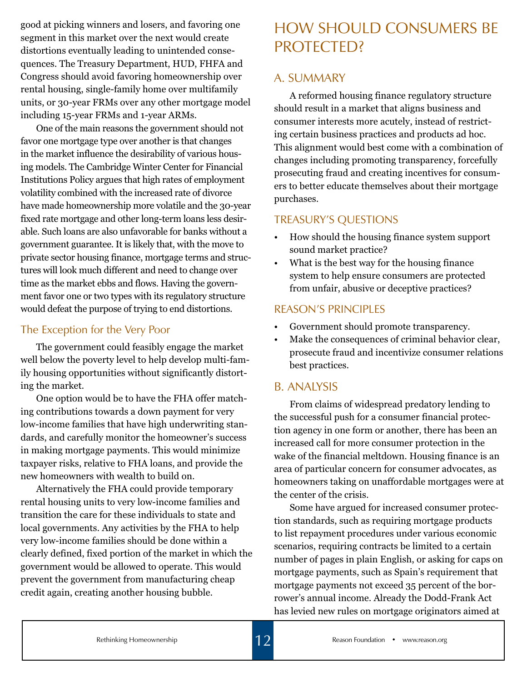good at picking winners and losers, and favoring one segment in this market over the next would create distortions eventually leading to unintended consequences. The Treasury Department, HUD, FHFA and Congress should avoid favoring homeownership over rental housing, single-family home over multifamily units, or 30-year FRMs over any other mortgage model including 15-year FRMs and 1-year ARMs.

One of the main reasons the government should not favor one mortgage type over another is that changes in the market influence the desirability of various housing models. The Cambridge Winter Center for Financial Institutions Policy argues that high rates of employment volatility combined with the increased rate of divorce have made homeownership more volatile and the 30-year fixed rate mortgage and other long-term loans less desirable. Such loans are also unfavorable for banks without a government guarantee. It is likely that, with the move to private sector housing finance, mortgage terms and structures will look much different and need to change over time as the market ebbs and flows. Having the government favor one or two types with its regulatory structure would defeat the purpose of trying to end distortions.

#### The Exception for the Very Poor

The government could feasibly engage the market well below the poverty level to help develop multi-family housing opportunities without significantly distorting the market.

One option would be to have the FHA offer matching contributions towards a down payment for very low-income families that have high underwriting standards, and carefully monitor the homeowner's success in making mortgage payments. This would minimize taxpayer risks, relative to FHA loans, and provide the new homeowners with wealth to build on.

Alternatively the FHA could provide temporary rental housing units to very low-income families and transition the care for these individuals to state and local governments. Any activities by the FHA to help very low-income families should be done within a clearly defined, fixed portion of the market in which the government would be allowed to operate. This would prevent the government from manufacturing cheap credit again, creating another housing bubble.

# How Should Consumers Be PROTECTED?

#### A. SUMMARY

A reformed housing finance regulatory structure should result in a market that aligns business and consumer interests more acutely, instead of restricting certain business practices and products ad hoc. This alignment would best come with a combination of changes including promoting transparency, forcefully prosecuting fraud and creating incentives for consumers to better educate themselves about their mortgage purchases.

#### TREASURY'S QUESTIONS

- How should the housing finance system support sound market practice?
- What is the best way for the housing finance system to help ensure consumers are protected from unfair, abusive or deceptive practices?

#### REASON'S PRINCIPLES

- Government should promote transparency.
- Make the consequences of criminal behavior clear, prosecute fraud and incentivize consumer relations best practices.

#### B. ANALYSIS

From claims of widespread predatory lending to the successful push for a consumer financial protection agency in one form or another, there has been an increased call for more consumer protection in the wake of the financial meltdown. Housing finance is an area of particular concern for consumer advocates, as homeowners taking on unaffordable mortgages were at the center of the crisis.

Some have argued for increased consumer protection standards, such as requiring mortgage products to list repayment procedures under various economic scenarios, requiring contracts be limited to a certain number of pages in plain English, or asking for caps on mortgage payments, such as Spain's requirement that mortgage payments not exceed 35 percent of the borrower's annual income. Already the Dodd-Frank Act has levied new rules on mortgage originators aimed at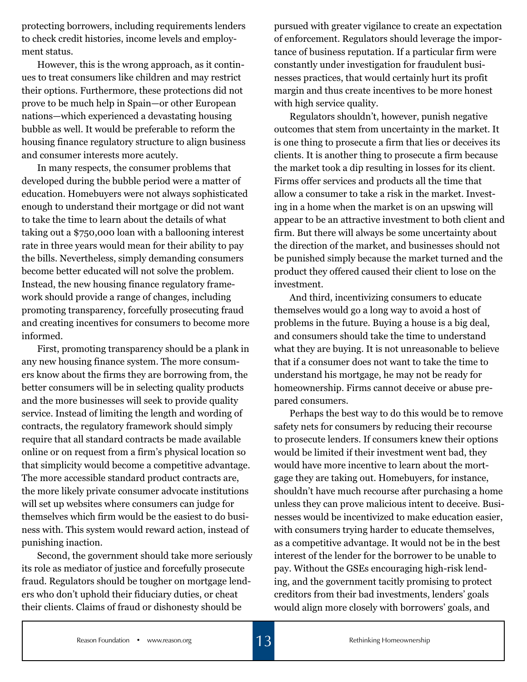protecting borrowers, including requirements lenders to check credit histories, income levels and employment status.

However, this is the wrong approach, as it continues to treat consumers like children and may restrict their options. Furthermore, these protections did not prove to be much help in Spain—or other European nations—which experienced a devastating housing bubble as well. It would be preferable to reform the housing finance regulatory structure to align business and consumer interests more acutely.

In many respects, the consumer problems that developed during the bubble period were a matter of education. Homebuyers were not always sophisticated enough to understand their mortgage or did not want to take the time to learn about the details of what taking out a \$750,000 loan with a ballooning interest rate in three years would mean for their ability to pay the bills. Nevertheless, simply demanding consumers become better educated will not solve the problem. Instead, the new housing finance regulatory framework should provide a range of changes, including promoting transparency, forcefully prosecuting fraud and creating incentives for consumers to become more informed.

First, promoting transparency should be a plank in any new housing finance system. The more consumers know about the firms they are borrowing from, the better consumers will be in selecting quality products and the more businesses will seek to provide quality service. Instead of limiting the length and wording of contracts, the regulatory framework should simply require that all standard contracts be made available online or on request from a firm's physical location so that simplicity would become a competitive advantage. The more accessible standard product contracts are, the more likely private consumer advocate institutions will set up websites where consumers can judge for themselves which firm would be the easiest to do business with. This system would reward action, instead of punishing inaction.

Second, the government should take more seriously its role as mediator of justice and forcefully prosecute fraud. Regulators should be tougher on mortgage lenders who don't uphold their fiduciary duties, or cheat their clients. Claims of fraud or dishonesty should be

pursued with greater vigilance to create an expectation of enforcement. Regulators should leverage the importance of business reputation. If a particular firm were constantly under investigation for fraudulent businesses practices, that would certainly hurt its profit margin and thus create incentives to be more honest with high service quality.

Regulators shouldn't, however, punish negative outcomes that stem from uncertainty in the market. It is one thing to prosecute a firm that lies or deceives its clients. It is another thing to prosecute a firm because the market took a dip resulting in losses for its client. Firms offer services and products all the time that allow a consumer to take a risk in the market. Investing in a home when the market is on an upswing will appear to be an attractive investment to both client and firm. But there will always be some uncertainty about the direction of the market, and businesses should not be punished simply because the market turned and the product they offered caused their client to lose on the investment.

And third, incentivizing consumers to educate themselves would go a long way to avoid a host of problems in the future. Buying a house is a big deal, and consumers should take the time to understand what they are buying. It is not unreasonable to believe that if a consumer does not want to take the time to understand his mortgage, he may not be ready for homeownership. Firms cannot deceive or abuse prepared consumers.

Perhaps the best way to do this would be to remove safety nets for consumers by reducing their recourse to prosecute lenders. If consumers knew their options would be limited if their investment went bad, they would have more incentive to learn about the mortgage they are taking out. Homebuyers, for instance, shouldn't have much recourse after purchasing a home unless they can prove malicious intent to deceive. Businesses would be incentivized to make education easier, with consumers trying harder to educate themselves, as a competitive advantage. It would not be in the best interest of the lender for the borrower to be unable to pay. Without the GSEs encouraging high-risk lending, and the government tacitly promising to protect creditors from their bad investments, lenders' goals would align more closely with borrowers' goals, and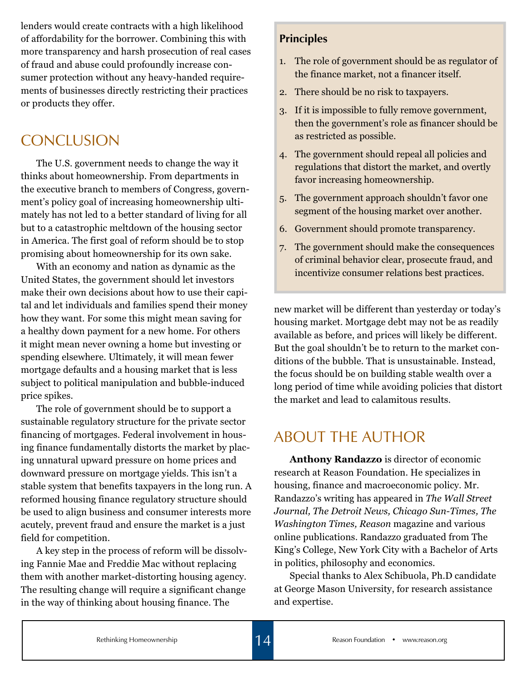lenders would create contracts with a high likelihood of affordability for the borrower. Combining this with more transparency and harsh prosecution of real cases of fraud and abuse could profoundly increase consumer protection without any heavy-handed requirements of businesses directly restricting their practices or products they offer.

## **CONCLUSION**

The U.S. government needs to change the way it thinks about homeownership. From departments in the executive branch to members of Congress, government's policy goal of increasing homeownership ultimately has not led to a better standard of living for all but to a catastrophic meltdown of the housing sector in America. The first goal of reform should be to stop promising about homeownership for its own sake.

With an economy and nation as dynamic as the United States, the government should let investors make their own decisions about how to use their capital and let individuals and families spend their money how they want. For some this might mean saving for a healthy down payment for a new home. For others it might mean never owning a home but investing or spending elsewhere. Ultimately, it will mean fewer mortgage defaults and a housing market that is less subject to political manipulation and bubble-induced price spikes.

The role of government should be to support a sustainable regulatory structure for the private sector financing of mortgages. Federal involvement in housing finance fundamentally distorts the market by placing unnatural upward pressure on home prices and downward pressure on mortgage yields. This isn't a stable system that benefits taxpayers in the long run. A reformed housing finance regulatory structure should be used to align business and consumer interests more acutely, prevent fraud and ensure the market is a just field for competition.

A key step in the process of reform will be dissolving Fannie Mae and Freddie Mac without replacing them with another market-distorting housing agency. The resulting change will require a significant change in the way of thinking about housing finance. The

#### **Principles**

- 1. The role of government should be as regulator of the finance market, not a financer itself.
- 2. There should be no risk to taxpayers.
- 3. If it is impossible to fully remove government, then the government's role as financer should be as restricted as possible.
- 4. The government should repeal all policies and regulations that distort the market, and overtly favor increasing homeownership.
- 5. The government approach shouldn't favor one segment of the housing market over another.
- 6. Government should promote transparency.
- 7. The government should make the consequences of criminal behavior clear, prosecute fraud, and incentivize consumer relations best practices.

new market will be different than yesterday or today's housing market. Mortgage debt may not be as readily available as before, and prices will likely be different. But the goal shouldn't be to return to the market conditions of the bubble. That is unsustainable. Instead, the focus should be on building stable wealth over a long period of time while avoiding policies that distort the market and lead to calamitous results.

## About the Author

**Anthony Randazzo** is director of economic research at Reason Foundation. He specializes in housing, finance and macroeconomic policy. Mr. Randazzo's writing has appeared in *The Wall Street Journal, The Detroit News, Chicago Sun-Times, The Washington Times, Reason* magazine and various online publications. Randazzo graduated from The King's College, New York City with a Bachelor of Arts in politics, philosophy and economics.

Special thanks to Alex Schibuola, Ph.D candidate at George Mason University, for research assistance and expertise.